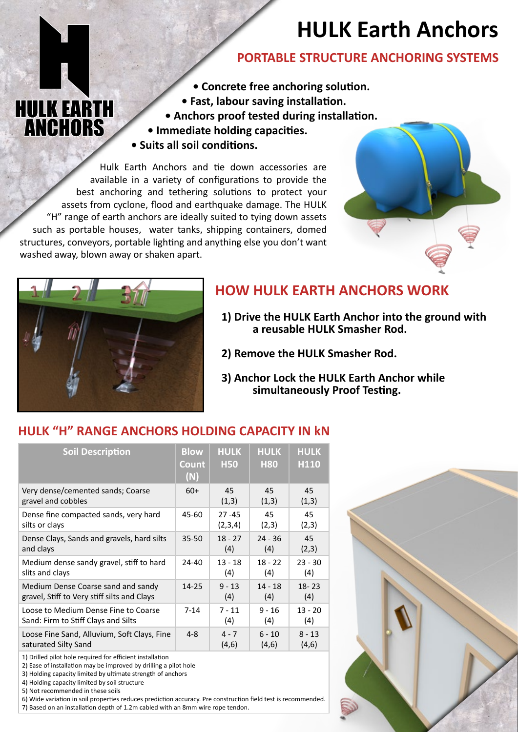# **HULK Earth Anchors**

## **PORTABLE STRUCTURE ANCHORING SYSTEMS**

- **Concrete free anchoring solution.**
- **Fast, labour saving installation.**
- **Anchors proof tested during installation.**
- **Immediate holding capacities. • Suits all soil conditions.**

Hulk Earth Anchors and tie down accessories are available in a variety of configurations to provide the best anchoring and tethering solutions to protect your assets from cyclone, flood and earthquake damage. The HULK "H" range of earth anchors are ideally suited to tying down assets such as portable houses, water tanks, shipping containers, domed structures, conveyors, portable lighting and anything else you don't want washed away, blown away or shaken apart.





**HULK EARTH ANCHORS** 

# **HOW HULK EARTH ANCHORS WORK**

- **1) Drive the HULK Earth Anchor into the ground with a reusable HULK Smasher Rod.**
- **2) Remove the HULK Smasher Rod.**
- **3) Anchor Lock the HULK Earth Anchor while simultaneously Proof Testing.**

### **HULK "H" RANGE ANCHORS HOLDING CAPACITY IN kN**

| <b>Soil Description</b>                     | <b>Blow</b><br>Count<br>(N) | <b>HULK</b><br><b>H50</b> | <b>HULK</b><br><b>H80</b> | <b>HULK</b><br>H <sub>110</sub> |
|---------------------------------------------|-----------------------------|---------------------------|---------------------------|---------------------------------|
| Very dense/cemented sands; Coarse           | $60+$                       | 45                        | 45                        | 45                              |
| gravel and cobbles                          |                             | (1,3)                     | (1,3)                     | (1,3)                           |
| Dense fine compacted sands, very hard       | 45-60                       | $27 - 45$                 | 45                        | 45                              |
| silts or clays                              |                             | (2,3,4)                   | (2,3)                     | (2,3)                           |
| Dense Clays, Sands and gravels, hard silts  | $35 - 50$                   | $18 - 27$                 | $24 - 36$                 | 45                              |
| and clays                                   |                             | (4)                       | (4)                       | (2,3)                           |
| Medium dense sandy gravel, stiff to hard    | 24-40                       | $13 - 18$                 | $18 - 22$                 | $23 - 30$                       |
| slits and clays                             |                             | (4)                       | (4)                       | (4)                             |
| Medium Dense Coarse sand and sandy          | 14-25                       | $9 - 13$                  | $14 - 18$                 | $18 - 23$                       |
| gravel, Stiff to Very stiff silts and Clays |                             | (4)                       | (4)                       | (4)                             |
| Loose to Medium Dense Fine to Coarse        | $7 - 14$                    | $7 - 11$                  | $9 - 16$                  | $13 - 20$                       |
| Sand: Firm to Stiff Clays and Silts         |                             | (4)                       | (4)                       | (4)                             |
| Loose Fine Sand, Alluvium, Soft Clays, Fine | $4 - 8$                     | $4 - 7$                   | $6 - 10$                  | $8 - 13$                        |
| saturated Silty Sand                        |                             | (4,6)                     | (4,6)                     | (4,6)                           |

1) Drilled pilot hole required for efficient installation

2) Ease of installation may be improved by drilling a pilot hole

3) Holding capacity limited by ultimate strength of anchors

4) Holding capacity limited by soil structure

5) Not recommended in these soils

6) Wide variation in soil properties reduces prediction accuracy. Pre construction field test is recommended. 7) Based on an installation depth of 1.2m cabled with an 8mm wire rope tendon.